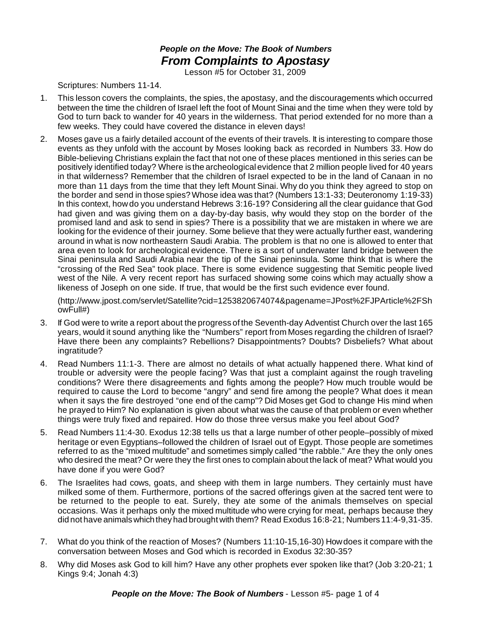## *People on the Move: The Book of Numbers From Complaints to Apostasy*

Lesson #5 for October 31, 2009

Scriptures: Numbers 11-14.

- 1. This lesson covers the complaints, the spies, the apostasy, and the discouragements which occurred between the time the children of Israel left the foot of Mount Sinai and the time when they were told by God to turn back to wander for 40 years in the wilderness. That period extended for no more than a few weeks. They could have covered the distance in eleven days!
- 2. Moses gave us a fairly detailed account of the events of their travels. It is interesting to compare those events as they unfold with the account by Moses looking back as recorded in Numbers 33. How do Bible-believing Christians explain the fact that not one of these places mentioned in this series can be positively identified today? Where is the archeological evidence that 2 million people lived for 40 years in that wilderness? Remember that the children of Israel expected to be in the land of Canaan in no more than 11 days from the time that they left Mount Sinai. Why do you think they agreed to stop on the border and send in those spies?Whose idea was that? (Numbers 13:1-33; Deuteronomy 1:19-33) In this context, how do you understand Hebrews 3:16-19? Considering all the clear guidance that God had given and was giving them on a day-by-day basis, why would they stop on the border of the promised land and ask to send in spies? There is a possibility that we are mistaken in where we are looking for the evidence of their journey. Some believe that they were actually further east, wandering around in what is now northeastern Saudi Arabia. The problem is that no one is allowed to enter that area even to look for archeological evidence. There is a sort of underwater land bridge between the Sinai peninsula and Saudi Arabia near the tip of the Sinai peninsula. Some think that is where the "crossing of the Red Sea" took place. There is some evidence suggesting that Semitic people lived west of the Nile. A very recent report has surfaced showing some coins which may actually show a likeness of Joseph on one side. If true, that would be the first such evidence ever found.

(http://www.jpost.com/servlet/Satellite?cid=1253820674074&pagename=JPost%2FJPArticle%2FSh owFull#)

- 3. If God were to write a report about the progress of the Seventh-day Adventist Church over the last 165 years, would it sound anything like the "Numbers" report from Moses regarding the children of Israel? Have there been any complaints? Rebellions? Disappointments? Doubts? Disbeliefs? What about ingratitude?
- 4. Read Numbers 11:1-3. There are almost no details of what actually happened there. What kind of trouble or adversity were the people facing? Was that just a complaint against the rough traveling conditions? Were there disagreements and fights among the people? How much trouble would be required to cause the Lord to become "angry" and send fire among the people? What does it mean when it says the fire destroyed "one end of the camp"? Did Moses get God to change His mind when he prayed to Him? No explanation is given about what was the cause of that problem or even whether things were truly fixed and repaired. How do those three versus make you feel about God?
- 5. Read Numbers 11:4-30. Exodus 12:38 tells us that a large number of other people–possibly of mixed heritage or even Egyptians–followed the children of Israel out of Egypt. Those people are sometimes referred to as the "mixed multitude" and sometimes simply called "the rabble." Are they the only ones who desired the meat? Or were they the first ones to complain about the lack of meat? What would you have done if you were God?
- 6. The Israelites had cows, goats, and sheep with them in large numbers. They certainly must have milked some of them. Furthermore, portions of the sacred offerings given at the sacred tent were to be returned to the people to eat. Surely, they ate some of the animals themselves on special occasions. Was it perhaps only the mixed multitude who were crying for meat, perhaps because they did not have animals which they had brought with them? Read Exodus 16:8-21; Numbers 11:4-9,31-35.
- 7. What do you think of the reaction of Moses? (Numbers 11:10-15,16-30) Howdoes it compare with the conversation between Moses and God which is recorded in Exodus 32:30-35?
- 8. Why did Moses ask God to kill him? Have any other prophets ever spoken like that? (Job 3:20-21; 1 Kings 9:4; Jonah 4:3)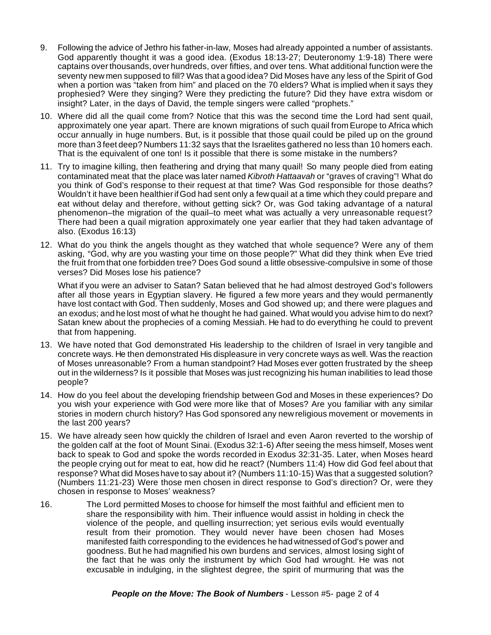- 9. Following the advice of Jethro his father-in-law, Moses had already appointed a number of assistants. God apparently thought it was a good idea. (Exodus 18:13-27; Deuteronomy 1:9-18) There were captains overthousands, over hundreds, over fifties, and over tens. What additional function were the seventy new men supposed to fill? Was that a good idea? Did Moses have any less of the Spirit of God when a portion was "taken from him" and placed on the 70 elders? What is implied when it says they prophesied? Were they singing? Were they predicting the future? Did they have extra wisdom or insight? Later, in the days of David, the temple singers were called "prophets."
- 10. Where did all the quail come from? Notice that this was the second time the Lord had sent quail, approximately one year apart. There are known migrations of such quail from Europe to Africa which occur annually in huge numbers. But, is it possible that those quail could be piled up on the ground more than 3 feet deep? Numbers 11:32 says that the Israelites gathered no less than 10 homers each. That is the equivalent of one ton! Is it possible that there is some mistake in the numbers?
- 11. Try to imagine killing, then feathering and drying that many quail! So many people died from eating contaminated meat that the place was later named *Kibroth Hattaavah* or "graves of craving"! What do you think of God's response to their request at that time? Was God responsible for those deaths? Wouldn't it have been healthierifGod had sent only a few quail at a time which they could prepare and eat without delay and therefore, without getting sick? Or, was God taking advantage of a natural phenomenon–the migration of the quail–to meet what was actually a very unreasonable request? There had been a quail migration approximately one year earlier that they had taken advantage of also. (Exodus 16:13)
- 12. What do you think the angels thought as they watched that whole sequence? Were any of them asking, "God, why are you wasting your time on those people?" What did they think when Eve tried the fruit from that one forbidden tree? Does God sound a little obsessive-compulsive in some of those verses? Did Moses lose his patience?

What if you were an adviser to Satan? Satan believed that he had almost destroyed God's followers after all those years in Egyptian slavery. He figured a few more years and they would permanently have lost contact with God. Then suddenly, Moses and God showed up; and there were plagues and an exodus; and he lost most of what he thought he had gained. What would you advise him to do next? Satan knew about the prophecies of a coming Messiah. He had to do everything he could to prevent that from happening.

- 13. We have noted that God demonstrated His leadership to the children of Israel in very tangible and concrete ways. He then demonstrated His displeasure in very concrete ways as well. Was the reaction of Moses unreasonable? From a human standpoint? Had Moses ever gotten frustrated by the sheep out in the wilderness? Is it possible that Moses was just recognizing his human inabilities to lead those people?
- 14. How do you feel about the developing friendship between God and Moses in these experiences? Do you wish your experience with God were more like that of Moses? Are you familiar with any similar stories in modern church history? Has God sponsored any new religious movement or movements in the last 200 years?
- 15. We have already seen how quickly the children of Israel and even Aaron reverted to the worship of the golden calf at the foot of Mount Sinai. (Exodus 32:1-6) After seeing the mess himself, Moses went back to speak to God and spoke the words recorded in Exodus 32:31-35. Later, when Moses heard the people crying out for meat to eat, how did he react? (Numbers 11:4) How did God feel about that response? What did Moses have to say about it? (Numbers 11:10-15) Was that a suggested solution? (Numbers 11:21-23) Were those men chosen in direct response to God's direction? Or, were they chosen in response to Moses' weakness?
- 16. The Lord permitted Moses to choose for himself the most faithful and efficient men to share the responsibility with him. Their influence would assist in holding in check the violence of the people, and quelling insurrection; yet serious evils would eventually result from their promotion. They would never have been chosen had Moses manifested faith corresponding to the evidences he had witnessed ofGod's power and goodness. But he had magnified his own burdens and services, almost losing sight of the fact that he was only the instrument by which God had wrought. He was not excusable in indulging, in the slightest degree, the spirit of murmuring that was the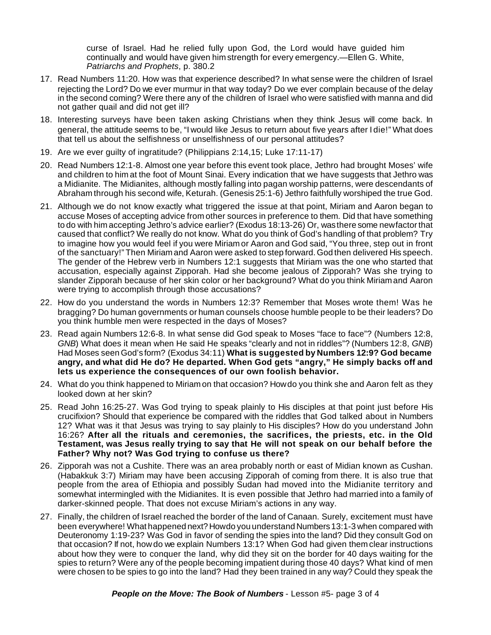curse of Israel. Had he relied fully upon God, the Lord would have guided him continually and would have given him strength for every emergency.—Ellen G. White, *Patriarchs and Prophets*, p. 380.2

- 17. Read Numbers 11:20. How was that experience described? In what sense were the children of Israel rejecting the Lord? Do we ever murmur in that way today? Do we ever complain because of the delay in the second coming? Were there any of the children of Israel who were satisfied with manna and did not gather quail and did not get ill?
- 18. Interesting surveys have been taken asking Christians when they think Jesus will come back. In general, the attitude seems to be, "I would like Jesus to return about five years after I die!" What does that tell us about the selfishness or unselfishness of our personal attitudes?
- 19. Are we ever guilty of ingratitude? (Philippians 2:14,15; Luke 17:11-17)
- 20. Read Numbers 12:1-8. Almost one year before this event took place, Jethro had brought Moses' wife and children to him at the foot of Mount Sinai. Every indication that we have suggests that Jethro was a Midianite. The Midianites, although mostly falling into pagan worship patterns, were descendants of Abraham through his second wife, Keturah. (Genesis 25:1-6) Jethro faithfully worshiped the true God.
- 21. Although we do not know exactly what triggered the issue at that point, Miriam and Aaron began to accuse Moses of accepting advice from other sources in preference to them. Did that have something to do with him accepting Jethro's advice earlier? (Exodus 18:13-26) Or, wasthere some newfactorthat caused that conflict? We really do not know. What do you think of God's handling of that problem? Try to imagine how you would feel if you were Miriam or Aaron and God said, "You three, step out in front of the sanctuary!" Then Miriam and Aaron were asked to step forward.God then delivered His speech. The gender of the Hebrew verb in Numbers 12:1 suggests that Miriam was the one who started that accusation, especially against Zipporah. Had she become jealous of Zipporah? Was she trying to slander Zipporah because of her skin color or her background? What do you think Miriam and Aaron were trying to accomplish through those accusations?
- 22. How do you understand the words in Numbers 12:3? Remember that Moses wrote them! Was he bragging? Do human governments or human counsels choose humble people to be their leaders? Do you think humble men were respected in the days of Moses?
- 23. Read again Numbers 12:6-8. In what sense did God speak to Moses "face to face"? (Numbers 12:8, *GNB*) What does it mean when He said He speaks "clearly and not in riddles"? (Numbers 12:8, *GNB*) Had Moses seenGod's form? (Exodus 34:11) **What is suggested by Numbers 12:9? God became angry, and what did He do? He departed. When God gets "angry," He simply backs off and lets us experience the consequences of our own foolish behavior.**
- 24. What do you think happened to Miriam on that occasion? Howdo you think she and Aaron felt as they looked down at her skin?
- 25. Read John 16:25-27. Was God trying to speak plainly to His disciples at that point just before His crucifixion? Should that experience be compared with the riddles that God talked about in Numbers 12? What was it that Jesus was trying to say plainly to His disciples? How do you understand John 16:26? **After all the rituals and ceremonies, the sacrifices, the priests, etc. in the Old Testament, was Jesus really trying to say that He will not speak on our behalf before the Father? Why not? Was God trying to confuse us there?**
- 26. Zipporah was not a Cushite. There was an area probably north or east of Midian known as Cushan. (Habakkuk 3:7) Miriam may have been accusing Zipporah of coming from there. It is also true that people from the area of Ethiopia and possibly Sudan had moved into the Midianite territory and somewhat intermingled with the Midianites. It is even possible that Jethro had married into a family of darker-skinned people. That does not excuse Miriam's actions in any way.
- 27. Finally, the children of Israel reached the border of the land of Canaan. Surely, excitement must have been everywhere! What happened next?Howdo you understand Numbers13:1-3 when compared with Deuteronomy 1:19-23? Was God in favor of sending the spies into the land? Did they consult God on that occasion? If not, how do we explain Numbers 13:1? When God had given them clear instructions about how they were to conquer the land, why did they sit on the border for 40 days waiting for the spies to return? Were any of the people becoming impatient during those 40 days? What kind of men were chosen to be spies to go into the land? Had they been trained in any way? Could they speak the